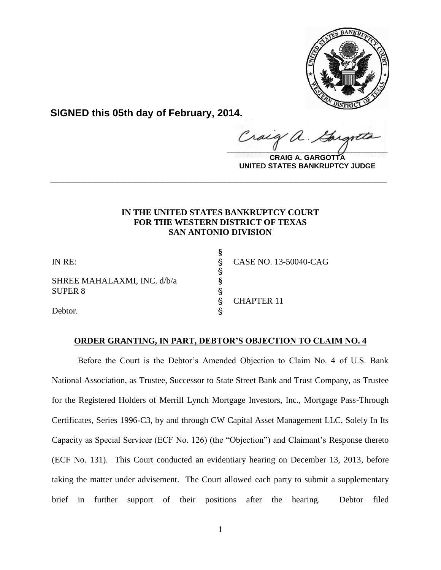

**SIGNED this 05th day of February, 2014.**

Cracy a.  $\frac{1}{2}$ 

**CRAIG A. GARGOTTA UNITED STATES BANKRUPTCY JUDGE**

# **IN THE UNITED STATES BANKRUPTCY COURT FOR THE WESTERN DISTRICT OF TEXAS SAN ANTONIO DIVISION**

**\_\_\_\_\_\_\_\_\_\_\_\_\_\_\_\_\_\_\_\_\_\_\_\_\_\_\_\_\_\_\_\_\_\_\_\_\_\_\_\_\_\_\_\_\_\_\_\_\_\_\_\_\_\_\_\_\_\_\_\_**

**§**

S<br>S

SHREE MAHALAXMI, INC. d/b/a **§** SUPER 8 S

IN RE: ' CASE NO. 13-50040-CAG

CHAPTER 11

Debtor.

# **ORDER GRANTING, IN PART, DEBTOR'S OBJECTION TO CLAIM NO. 4**

Before the Court is the Debtor's Amended Objection to Claim No. 4 of U.S. Bank National Association, as Trustee, Successor to State Street Bank and Trust Company, as Trustee for the Registered Holders of Merrill Lynch Mortgage Investors, Inc., Mortgage Pass-Through Certificates, Series 1996-C3, by and through CW Capital Asset Management LLC, Solely In Its Capacity as Special Servicer (ECF No. 126) (the "Objection") and Claimant's Response thereto (ECF No. 131). This Court conducted an evidentiary hearing on December 13, 2013, before taking the matter under advisement. The Court allowed each party to submit a supplementary brief in further support of their positions after the hearing. Debtor filed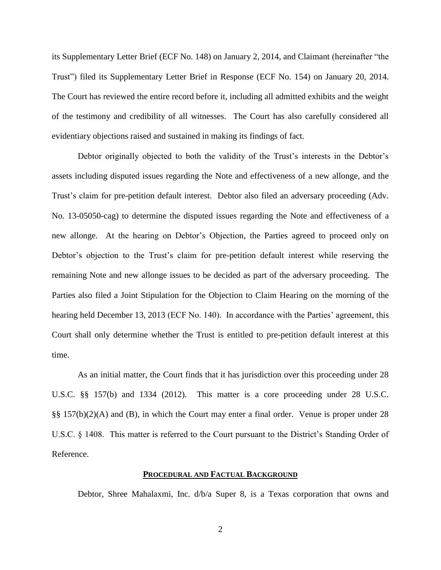its Supplementary Letter Brief (ECF No. 148) on January 2, 2014, and Claimant (hereinafter "the Trust") filed its Supplementary Letter Brief in Response (ECF No. 154) on January 20, 2014. The Court has reviewed the entire record before it, including all admitted exhibits and the weight of the testimony and credibility of all witnesses. The Court has also carefully considered all evidentiary objections raised and sustained in making its findings of fact.

Debtor originally objected to both the validity of the Trust's interests in the Debtor's assets including disputed issues regarding the Note and effectiveness of a new allonge, and the Trust's claim for pre-petition default interest. Debtor also filed an adversary proceeding (Adv. No. 13-05050-cag) to determine the disputed issues regarding the Note and effectiveness of a new allonge. At the hearing on Debtor's Objection, the Parties agreed to proceed only on Debtor's objection to the Trust's claim for pre-petition default interest while reserving the remaining Note and new allonge issues to be decided as part of the adversary proceeding. The Parties also filed a Joint Stipulation for the Objection to Claim Hearing on the morning of the hearing held December 13, 2013 (ECF No. 140). In accordance with the Parties' agreement, this Court shall only determine whether the Trust is entitled to pre-petition default interest at this time.

As an initial matter, the Court finds that it has jurisdiction over this proceeding under 28 U.S.C. §§ 157(b) and 1334 (2012). This matter is a core proceeding under 28 U.S.C. §§ 157(b)(2)(A) and (B), in which the Court may enter a final order. Venue is proper under 28 U.S.C. § 1408. This matter is referred to the Court pursuant to the District's Standing Order of Reference.

## **PROCEDURAL AND FACTUAL BACKGROUND**

Debtor, Shree Mahalaxmi, Inc. d/b/a Super 8, is a Texas corporation that owns and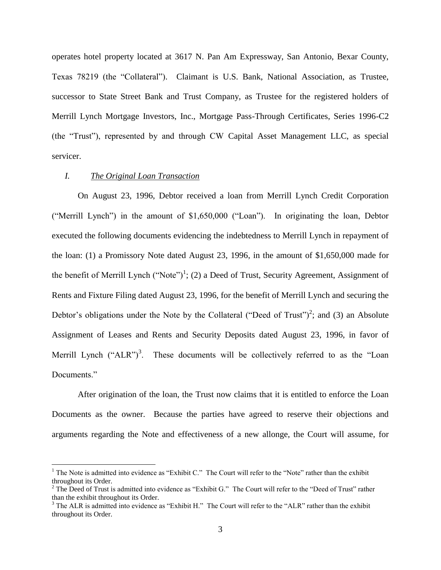operates hotel property located at 3617 N. Pan Am Expressway, San Antonio, Bexar County, Texas 78219 (the "Collateral"). Claimant is U.S. Bank, National Association, as Trustee, successor to State Street Bank and Trust Company, as Trustee for the registered holders of Merrill Lynch Mortgage Investors, Inc., Mortgage Pass-Through Certificates, Series 1996-C2 (the "Trust"), represented by and through CW Capital Asset Management LLC, as special servicer.

## *I. The Original Loan Transaction*

 $\overline{a}$ 

On August 23, 1996, Debtor received a loan from Merrill Lynch Credit Corporation ("Merrill Lynch") in the amount of \$1,650,000 ("Loan"). In originating the loan, Debtor executed the following documents evidencing the indebtedness to Merrill Lynch in repayment of the loan: (1) a Promissory Note dated August 23, 1996, in the amount of \$1,650,000 made for the benefit of Merrill Lynch  $("Note")^1$ ; (2) a Deed of Trust, Security Agreement, Assignment of Rents and Fixture Filing dated August 23, 1996, for the benefit of Merrill Lynch and securing the Debtor's obligations under the Note by the Collateral ("Deed of Trust")<sup>2</sup>; and (3) an Absolute Assignment of Leases and Rents and Security Deposits dated August 23, 1996, in favor of Merrill Lynch  $("ALR")^3$ . These documents will be collectively referred to as the "Loan Documents."

After origination of the loan, the Trust now claims that it is entitled to enforce the Loan Documents as the owner. Because the parties have agreed to reserve their objections and arguments regarding the Note and effectiveness of a new allonge, the Court will assume, for

<sup>&</sup>lt;sup>1</sup> The Note is admitted into evidence as "Exhibit C." The Court will refer to the "Note" rather than the exhibit throughout its Order.

 $2$ <sup>2</sup> The Deed of Trust is admitted into evidence as "Exhibit G." The Court will refer to the "Deed of Trust" rather than the exhibit throughout its Order.

<sup>&</sup>lt;sup>3</sup> The ALR is admitted into evidence as "Exhibit H." The Court will refer to the "ALR" rather than the exhibit throughout its Order.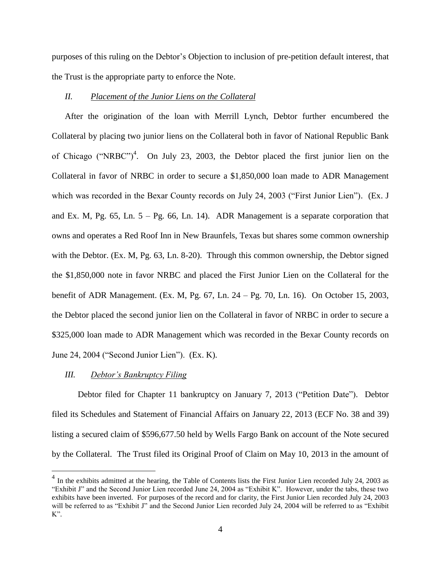purposes of this ruling on the Debtor's Objection to inclusion of pre-petition default interest, that the Trust is the appropriate party to enforce the Note.

## *II. Placement of the Junior Liens on the Collateral*

After the origination of the loan with Merrill Lynch, Debtor further encumbered the Collateral by placing two junior liens on the Collateral both in favor of National Republic Bank of Chicago ("NRBC")<sup>4</sup>. On July 23, 2003, the Debtor placed the first junior lien on the Collateral in favor of NRBC in order to secure a \$1,850,000 loan made to ADR Management which was recorded in the Bexar County records on July 24, 2003 ("First Junior Lien"). (Ex. J and Ex. M, Pg.  $65$ , Ln.  $5 - \text{Pg}$ . 66, Ln. 14). ADR Management is a separate corporation that owns and operates a Red Roof Inn in New Braunfels, Texas but shares some common ownership with the Debtor. (Ex. M, Pg. 63, Ln. 8-20). Through this common ownership, the Debtor signed the \$1,850,000 note in favor NRBC and placed the First Junior Lien on the Collateral for the benefit of ADR Management. (Ex. M, Pg. 67, Ln. 24 – Pg. 70, Ln. 16). On October 15, 2003, the Debtor placed the second junior lien on the Collateral in favor of NRBC in order to secure a \$325,000 loan made to ADR Management which was recorded in the Bexar County records on June 24, 2004 ("Second Junior Lien"). (Ex. K).

### *III. Debtor's Bankruptcy Filing*

Debtor filed for Chapter 11 bankruptcy on January 7, 2013 ("Petition Date"). Debtor filed its Schedules and Statement of Financial Affairs on January 22, 2013 (ECF No. 38 and 39) listing a secured claim of \$596,677.50 held by Wells Fargo Bank on account of the Note secured by the Collateral. The Trust filed its Original Proof of Claim on May 10, 2013 in the amount of

<sup>&</sup>lt;sup>4</sup> In the exhibits admitted at the hearing, the Table of Contents lists the First Junior Lien recorded July 24, 2003 as "Exhibit J" and the Second Junior Lien recorded June 24, 2004 as "Exhibit K". However, under the tabs, these two exhibits have been inverted. For purposes of the record and for clarity, the First Junior Lien recorded July 24, 2003 will be referred to as "Exhibit J" and the Second Junior Lien recorded July 24, 2004 will be referred to as "Exhibit  $K$ ".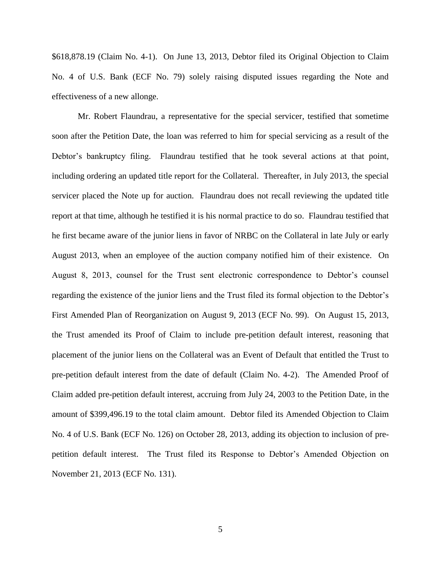\$618,878.19 (Claim No. 4-1). On June 13, 2013, Debtor filed its Original Objection to Claim No. 4 of U.S. Bank (ECF No. 79) solely raising disputed issues regarding the Note and effectiveness of a new allonge.

Mr. Robert Flaundrau, a representative for the special servicer, testified that sometime soon after the Petition Date, the loan was referred to him for special servicing as a result of the Debtor's bankruptcy filing. Flaundrau testified that he took several actions at that point, including ordering an updated title report for the Collateral. Thereafter, in July 2013, the special servicer placed the Note up for auction. Flaundrau does not recall reviewing the updated title report at that time, although he testified it is his normal practice to do so. Flaundrau testified that he first became aware of the junior liens in favor of NRBC on the Collateral in late July or early August 2013, when an employee of the auction company notified him of their existence. On August 8, 2013, counsel for the Trust sent electronic correspondence to Debtor's counsel regarding the existence of the junior liens and the Trust filed its formal objection to the Debtor's First Amended Plan of Reorganization on August 9, 2013 (ECF No. 99). On August 15, 2013, the Trust amended its Proof of Claim to include pre-petition default interest, reasoning that placement of the junior liens on the Collateral was an Event of Default that entitled the Trust to pre-petition default interest from the date of default (Claim No. 4-2). The Amended Proof of Claim added pre-petition default interest, accruing from July 24, 2003 to the Petition Date, in the amount of \$399,496.19 to the total claim amount. Debtor filed its Amended Objection to Claim No. 4 of U.S. Bank (ECF No. 126) on October 28, 2013, adding its objection to inclusion of prepetition default interest. The Trust filed its Response to Debtor's Amended Objection on November 21, 2013 (ECF No. 131).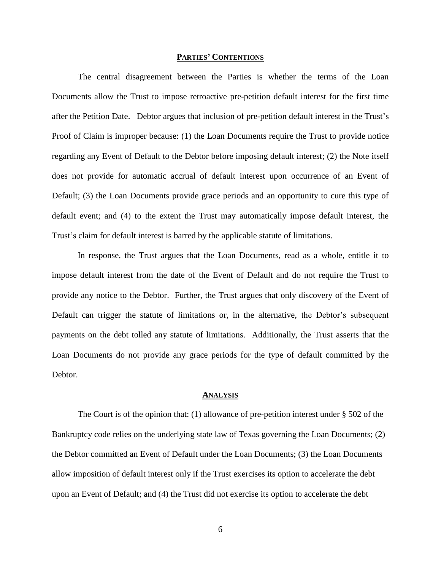#### **PARTIES' CONTENTIONS**

The central disagreement between the Parties is whether the terms of the Loan Documents allow the Trust to impose retroactive pre-petition default interest for the first time after the Petition Date. Debtor argues that inclusion of pre-petition default interest in the Trust's Proof of Claim is improper because: (1) the Loan Documents require the Trust to provide notice regarding any Event of Default to the Debtor before imposing default interest; (2) the Note itself does not provide for automatic accrual of default interest upon occurrence of an Event of Default; (3) the Loan Documents provide grace periods and an opportunity to cure this type of default event; and (4) to the extent the Trust may automatically impose default interest, the Trust's claim for default interest is barred by the applicable statute of limitations.

In response, the Trust argues that the Loan Documents, read as a whole, entitle it to impose default interest from the date of the Event of Default and do not require the Trust to provide any notice to the Debtor. Further, the Trust argues that only discovery of the Event of Default can trigger the statute of limitations or, in the alternative, the Debtor's subsequent payments on the debt tolled any statute of limitations. Additionally, the Trust asserts that the Loan Documents do not provide any grace periods for the type of default committed by the Debtor.

#### **ANALYSIS**

The Court is of the opinion that: (1) allowance of pre-petition interest under § 502 of the Bankruptcy code relies on the underlying state law of Texas governing the Loan Documents; (2) the Debtor committed an Event of Default under the Loan Documents; (3) the Loan Documents allow imposition of default interest only if the Trust exercises its option to accelerate the debt upon an Event of Default; and (4) the Trust did not exercise its option to accelerate the debt

6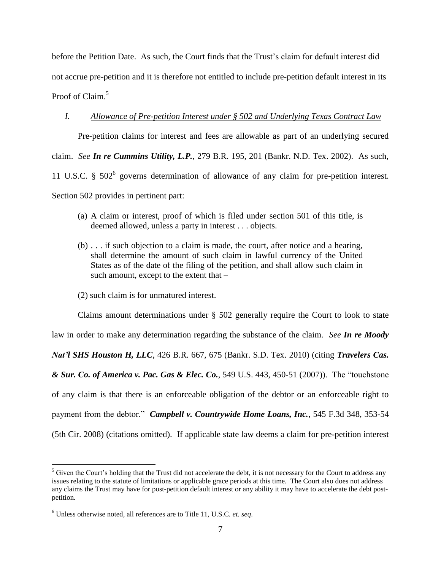before the Petition Date. As such, the Court finds that the Trust's claim for default interest did not accrue pre-petition and it is therefore not entitled to include pre-petition default interest in its Proof of Claim.<sup>5</sup>

## *I. Allowance of Pre-petition Interest under § 502 and Underlying Texas Contract Law*

Pre-petition claims for interest and fees are allowable as part of an underlying secured claim. *See In re Cummins Utility, L.P.*, 279 B.R. 195, 201 (Bankr. N.D. Tex. 2002). As such, 11 U.S.C. § 502<sup>6</sup> governs determination of allowance of any claim for pre-petition interest. Section 502 provides in pertinent part:

- (a) A claim or interest, proof of which is filed under section 501 of this title, is deemed allowed, unless a party in interest . . . objects.
- (b) . . . if such objection to a claim is made, the court, after notice and a hearing, shall determine the amount of such claim in lawful currency of the United States as of the date of the filing of the petition, and shall allow such claim in such amount, except to the extent that –
- (2) such claim is for unmatured interest.

Claims amount determinations under § 502 generally require the Court to look to state law in order to make any determination regarding the substance of the claim. *See In re Moody Nat'l SHS Houston H, LLC*, 426 B.R. 667, 675 (Bankr. S.D. Tex. 2010) (citing *Travelers Cas. & Sur. Co. of America v. Pac. Gas & Elec. Co.*, 549 U.S. 443, 450-51 (2007)). The "touchstone of any claim is that there is an enforceable obligation of the debtor or an enforceable right to payment from the debtor." *Campbell v. Countrywide Home Loans, Inc.*, 545 F.3d 348, 353-54 (5th Cir. 2008) (citations omitted). If applicable state law deems a claim for pre-petition interest

 $\overline{a}$ 

 $<sup>5</sup>$  Given the Court's holding that the Trust did not accelerate the debt, it is not necessary for the Court to address any</sup> issues relating to the statute of limitations or applicable grace periods at this time. The Court also does not address any claims the Trust may have for post-petition default interest or any ability it may have to accelerate the debt postpetition.

<sup>6</sup> Unless otherwise noted, all references are to Title 11, U.S.C. *et. seq*.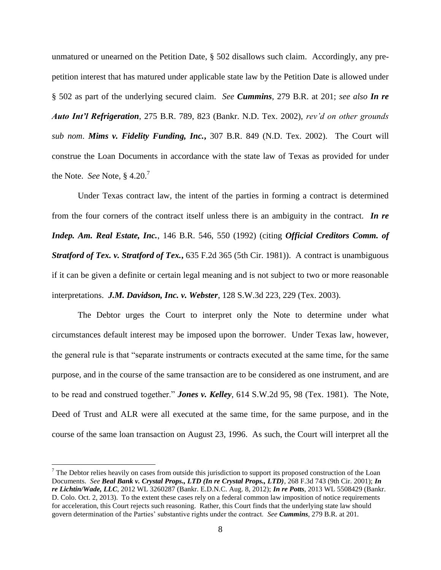unmatured or unearned on the Petition Date, § 502 disallows such claim. Accordingly, any prepetition interest that has matured under applicable state law by the Petition Date is allowed under § 502 as part of the underlying secured claim. *See Cummins*, 279 B.R. at 201; *see also In re Auto Int'l Refrigeration*, 275 B.R. 789, 823 (Bankr. N.D. Tex. 2002), *rev'd on other grounds sub nom*. *Mims v. Fidelity Funding, Inc.***,** 307 B.R. 849 (N.D. Tex. 2002). The Court will construe the Loan Documents in accordance with the state law of Texas as provided for under the Note. *See* Note, § 4.20.<sup>7</sup>

Under Texas contract law, the intent of the parties in forming a contract is determined from the four corners of the contract itself unless there is an ambiguity in the contract. *In re Indep. Am. Real Estate, Inc.*, 146 B.R. 546, 550 (1992) (citing *Official Creditors Comm. of Stratford of Tex. v. Stratford of Tex.*, 635 F.2d 365 (5th Cir. 1981)). A contract is unambiguous if it can be given a definite or certain legal meaning and is not subject to two or more reasonable interpretations. *J.M. Davidson, Inc. v. Webster*, 128 S.W.3d 223, 229 (Tex. 2003).

The Debtor urges the Court to interpret only the Note to determine under what circumstances default interest may be imposed upon the borrower. Under Texas law, however, the general rule is that "separate instruments or contracts executed at the same time, for the same purpose, and in the course of the same transaction are to be considered as one instrument, and are to be read and construed together." *Jones v. Kelley*, 614 S.W.2d 95, 98 (Tex. 1981). The Note, Deed of Trust and ALR were all executed at the same time, for the same purpose, and in the course of the same loan transaction on August 23, 1996. As such, the Court will interpret all the

 $\overline{a}$ 

 $<sup>7</sup>$  The Debtor relies heavily on cases from outside this jurisdiction to support its proposed construction of the Loan</sup> Documents. *See Beal Bank v. Crystal Props., LTD (In re Crystal Props., LTD)*, 268 F.3d 743 (9th Cir. 2001); *In re Lichtin/Wade, LLC*, 2012 WL 3260287 (Bankr. E.D.N.C. Aug. 8, 2012); *In re Potts*, 2013 WL 5508429 (Bankr. D. Colo. Oct. 2, 2013). To the extent these cases rely on a federal common law imposition of notice requirements for acceleration, this Court rejects such reasoning. Rather, this Court finds that the underlying state law should govern determination of the Parties' substantive rights under the contract. *See Cummins*, 279 B.R. at 201.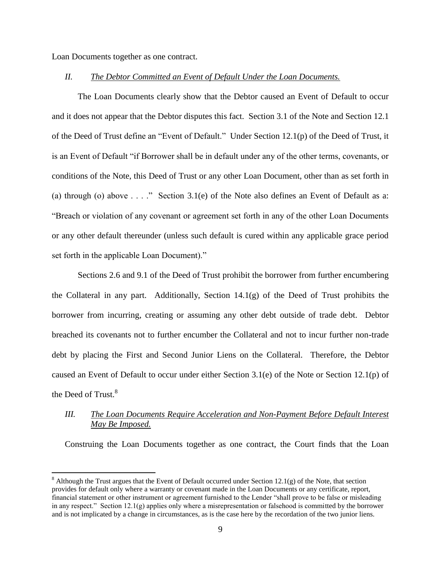Loan Documents together as one contract.

 $\overline{a}$ 

## *II. The Debtor Committed an Event of Default Under the Loan Documents.*

The Loan Documents clearly show that the Debtor caused an Event of Default to occur and it does not appear that the Debtor disputes this fact. Section 3.1 of the Note and Section 12.1 of the Deed of Trust define an "Event of Default." Under Section 12.1(p) of the Deed of Trust, it is an Event of Default "if Borrower shall be in default under any of the other terms, covenants, or conditions of the Note, this Deed of Trust or any other Loan Document, other than as set forth in (a) through (o) above  $\dots$ ." Section 3.1(e) of the Note also defines an Event of Default as a: "Breach or violation of any covenant or agreement set forth in any of the other Loan Documents or any other default thereunder (unless such default is cured within any applicable grace period set forth in the applicable Loan Document)."

Sections 2.6 and 9.1 of the Deed of Trust prohibit the borrower from further encumbering the Collateral in any part. Additionally, Section 14.1(g) of the Deed of Trust prohibits the borrower from incurring, creating or assuming any other debt outside of trade debt. Debtor breached its covenants not to further encumber the Collateral and not to incur further non-trade debt by placing the First and Second Junior Liens on the Collateral. Therefore, the Debtor caused an Event of Default to occur under either Section 3.1(e) of the Note or Section 12.1(p) of the Deed of Trust.<sup>8</sup>

# *III. The Loan Documents Require Acceleration and Non-Payment Before Default Interest May Be Imposed.*

Construing the Loan Documents together as one contract, the Court finds that the Loan

 $8$  Although the Trust argues that the Event of Default occurred under Section 12.1(g) of the Note, that section provides for default only where a warranty or covenant made in the Loan Documents or any certificate, report, financial statement or other instrument or agreement furnished to the Lender "shall prove to be false or misleading in any respect." Section  $12.1(g)$  applies only where a misrepresentation or falsehood is committed by the borrower and is not implicated by a change in circumstances, as is the case here by the recordation of the two junior liens.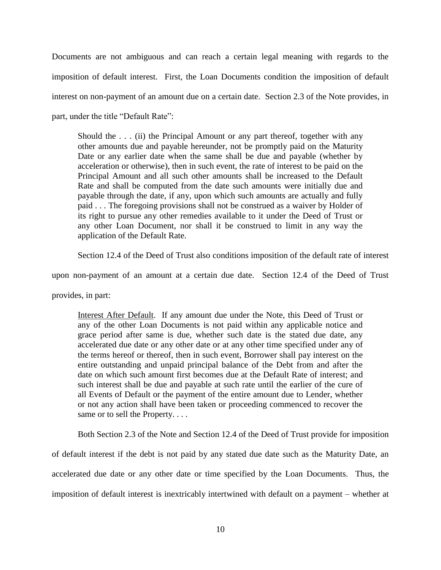Documents are not ambiguous and can reach a certain legal meaning with regards to the imposition of default interest. First, the Loan Documents condition the imposition of default interest on non-payment of an amount due on a certain date. Section 2.3 of the Note provides, in part, under the title "Default Rate":

Should the  $\ldots$  (ii) the Principal Amount or any part thereof, together with any other amounts due and payable hereunder, not be promptly paid on the Maturity Date or any earlier date when the same shall be due and payable (whether by acceleration or otherwise), then in such event, the rate of interest to be paid on the Principal Amount and all such other amounts shall be increased to the Default Rate and shall be computed from the date such amounts were initially due and payable through the date, if any, upon which such amounts are actually and fully paid . . . The foregoing provisions shall not be construed as a waiver by Holder of its right to pursue any other remedies available to it under the Deed of Trust or any other Loan Document, nor shall it be construed to limit in any way the application of the Default Rate.

Section 12.4 of the Deed of Trust also conditions imposition of the default rate of interest

upon non-payment of an amount at a certain due date. Section 12.4 of the Deed of Trust

provides, in part:

Interest After Default. If any amount due under the Note, this Deed of Trust or any of the other Loan Documents is not paid within any applicable notice and grace period after same is due, whether such date is the stated due date, any accelerated due date or any other date or at any other time specified under any of the terms hereof or thereof, then in such event, Borrower shall pay interest on the entire outstanding and unpaid principal balance of the Debt from and after the date on which such amount first becomes due at the Default Rate of interest; and such interest shall be due and payable at such rate until the earlier of the cure of all Events of Default or the payment of the entire amount due to Lender, whether or not any action shall have been taken or proceeding commenced to recover the same or to sell the Property....

Both Section 2.3 of the Note and Section 12.4 of the Deed of Trust provide for imposition

of default interest if the debt is not paid by any stated due date such as the Maturity Date, an accelerated due date or any other date or time specified by the Loan Documents. Thus, the imposition of default interest is inextricably intertwined with default on a payment – whether at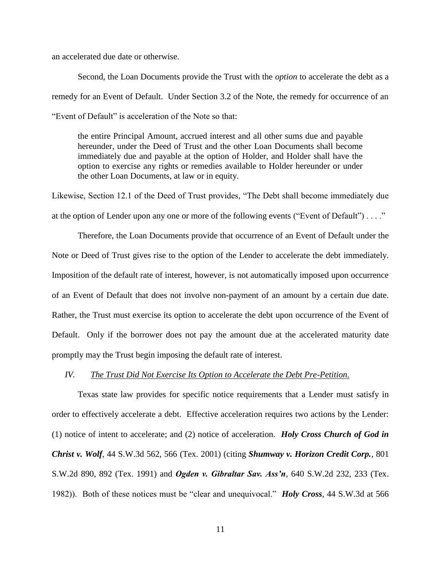an accelerated due date or otherwise.

Second, the Loan Documents provide the Trust with the *option* to accelerate the debt as a remedy for an Event of Default. Under Section 3.2 of the Note, the remedy for occurrence of an "Event of Default" is acceleration of the Note so that:

the entire Principal Amount, accrued interest and all other sums due and payable hereunder, under the Deed of Trust and the other Loan Documents shall become immediately due and payable at the option of Holder, and Holder shall have the option to exercise any rights or remedies available to Holder hereunder or under the other Loan Documents, at law or in equity.

Likewise, Section 12.1 of the Deed of Trust provides, "The Debt shall become immediately due at the option of Lender upon any one or more of the following events ("Event of Default") . . . ."

Therefore, the Loan Documents provide that occurrence of an Event of Default under the Note or Deed of Trust gives rise to the option of the Lender to accelerate the debt immediately. Imposition of the default rate of interest, however, is not automatically imposed upon occurrence of an Event of Default that does not involve non-payment of an amount by a certain due date. Rather, the Trust must exercise its option to accelerate the debt upon occurrence of the Event of Default. Only if the borrower does not pay the amount due at the accelerated maturity date promptly may the Trust begin imposing the default rate of interest.

#### *IV. The Trust Did Not Exercise Its Option to Accelerate the Debt Pre-Petition.*

Texas state law provides for specific notice requirements that a Lender must satisfy in order to effectively accelerate a debt. Effective acceleration requires two actions by the Lender: (1) notice of intent to accelerate; and (2) notice of acceleration. *Holy Cross Church of God in Christ v. Wolf*, 44 S.W.3d 562, 566 (Tex. 2001) (citing *Shumway v. Horizon Credit Corp.*, 801 S.W.2d 890, 892 (Tex. 1991) and *Ogden v. Gibraltar Sav. Ass'n*, 640 S.W.2d 232, 233 (Tex. 1982)). Both of these notices must be "clear and unequivocal." *Holy Cross*, 44 S.W.3d at 566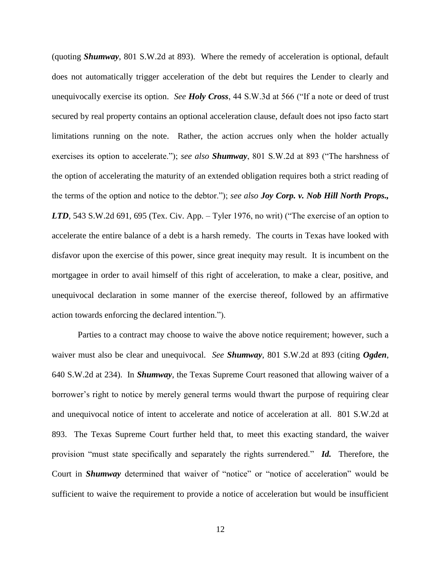(quoting *Shumway*, 801 S.W.2d at 893). Where the remedy of acceleration is optional, default does not automatically trigger acceleration of the debt but requires the Lender to clearly and unequivocally exercise its option. *See Holy Cross*, 44 S.W.3d at 566 ("If a note or deed of trust secured by real property contains an optional acceleration clause, default does not ipso facto start limitations running on the note. Rather, the action accrues only when the holder actually exercises its option to accelerate."); *see also Shumway*, 801 S.W.2d at 893 ("The harshness of the option of accelerating the maturity of an extended obligation requires both a strict reading of the terms of the option and notice to the debtor."); *see also Joy Corp. v. Nob Hill North Props., LTD*, 543 S.W.2d 691, 695 (Tex. Civ. App. – Tyler 1976, no writ) ("The exercise of an option to accelerate the entire balance of a debt is a harsh remedy. The courts in Texas have looked with disfavor upon the exercise of this power, since great inequity may result. It is incumbent on the mortgagee in order to avail himself of this right of acceleration, to make a clear, positive, and unequivocal declaration in some manner of the exercise thereof, followed by an affirmative action towards enforcing the declared intention.").

Parties to a contract may choose to waive the above notice requirement; however, such a waiver must also be clear and unequivocal. *See Shumway*, 801 S.W.2d at 893 (citing *Ogden*, 640 S.W.2d at 234). In *Shumway*, the Texas Supreme Court reasoned that allowing waiver of a borrower's right to notice by merely general terms would thwart the purpose of requiring clear and unequivocal notice of intent to accelerate and notice of acceleration at all. 801 S.W.2d at 893. The Texas Supreme Court further held that, to meet this exacting standard, the waiver provision "must state specifically and separately the rights surrendered." *Id.* Therefore, the Court in *Shumway* determined that waiver of "notice" or "notice of acceleration" would be sufficient to waive the requirement to provide a notice of acceleration but would be insufficient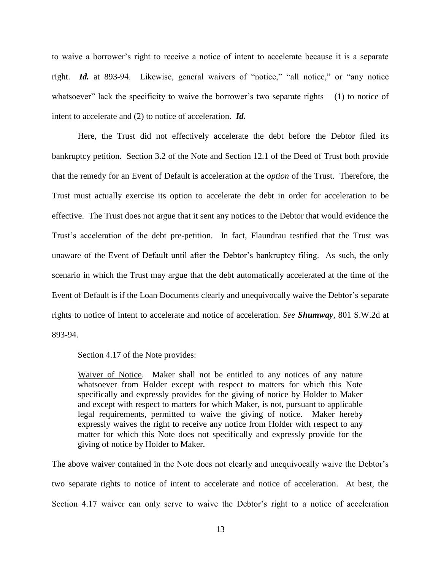to waive a borrower's right to receive a notice of intent to accelerate because it is a separate right. *Id.* at 893-94. Likewise, general waivers of "notice," "all notice," or "any notice whatsoever" lack the specificity to waive the borrower's two separate rights  $- (1)$  to notice of intent to accelerate and (2) to notice of acceleration. *Id.*

Here, the Trust did not effectively accelerate the debt before the Debtor filed its bankruptcy petition. Section 3.2 of the Note and Section 12.1 of the Deed of Trust both provide that the remedy for an Event of Default is acceleration at the *option* of the Trust. Therefore, the Trust must actually exercise its option to accelerate the debt in order for acceleration to be effective. The Trust does not argue that it sent any notices to the Debtor that would evidence the Trust's acceleration of the debt pre-petition. In fact, Flaundrau testified that the Trust was unaware of the Event of Default until after the Debtor's bankruptcy filing. As such, the only scenario in which the Trust may argue that the debt automatically accelerated at the time of the Event of Default is if the Loan Documents clearly and unequivocally waive the Debtor's separate rights to notice of intent to accelerate and notice of acceleration. *See Shumway*, 801 S.W.2d at 893-94.

Section 4.17 of the Note provides:

Waiver of Notice. Maker shall not be entitled to any notices of any nature whatsoever from Holder except with respect to matters for which this Note specifically and expressly provides for the giving of notice by Holder to Maker and except with respect to matters for which Maker, is not, pursuant to applicable legal requirements, permitted to waive the giving of notice. Maker hereby expressly waives the right to receive any notice from Holder with respect to any matter for which this Note does not specifically and expressly provide for the giving of notice by Holder to Maker.

The above waiver contained in the Note does not clearly and unequivocally waive the Debtor's two separate rights to notice of intent to accelerate and notice of acceleration. At best, the Section 4.17 waiver can only serve to waive the Debtor's right to a notice of acceleration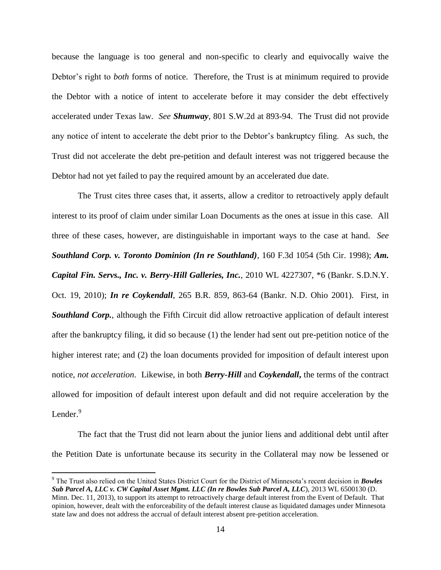because the language is too general and non-specific to clearly and equivocally waive the Debtor's right to *both* forms of notice. Therefore, the Trust is at minimum required to provide the Debtor with a notice of intent to accelerate before it may consider the debt effectively accelerated under Texas law. *See Shumway*, 801 S.W.2d at 893-94. The Trust did not provide any notice of intent to accelerate the debt prior to the Debtor's bankruptcy filing. As such, the Trust did not accelerate the debt pre-petition and default interest was not triggered because the Debtor had not yet failed to pay the required amount by an accelerated due date.

The Trust cites three cases that, it asserts, allow a creditor to retroactively apply default interest to its proof of claim under similar Loan Documents as the ones at issue in this case. All three of these cases, however, are distinguishable in important ways to the case at hand. *See Southland Corp. v. Toronto Dominion (In re Southland)*, 160 F.3d 1054 (5th Cir. 1998); *Am. Capital Fin. Servs., Inc. v. Berry-Hill Galleries, Inc.*, 2010 WL 4227307, \*6 (Bankr. S.D.N.Y. Oct. 19, 2010); *In re Coykendall*, 265 B.R. 859, 863-64 (Bankr. N.D. Ohio 2001). First, in **Southland Corp.**, although the Fifth Circuit did allow retroactive application of default interest after the bankruptcy filing, it did so because (1) the lender had sent out pre-petition notice of the higher interest rate; and (2) the loan documents provided for imposition of default interest upon notice, *not acceleration*. Likewise, in both *Berry-Hill* and *Coykendall***,** the terms of the contract allowed for imposition of default interest upon default and did not require acceleration by the Lender.<sup>9</sup>

The fact that the Trust did not learn about the junior liens and additional debt until after the Petition Date is unfortunate because its security in the Collateral may now be lessened or

 $\overline{a}$ 

<sup>9</sup> The Trust also relied on the United States District Court for the District of Minnesota's recent decision in *Bowles Sub Parcel A, LLC v. CW Capital Asset Mgmt. LLC (In re Bowles Sub Parcel A, LLC*), 2013 WL 6500130 (D. Minn. Dec. 11, 2013), to support its attempt to retroactively charge default interest from the Event of Default. That opinion, however, dealt with the enforceability of the default interest clause as liquidated damages under Minnesota state law and does not address the accrual of default interest absent pre-petition acceleration.